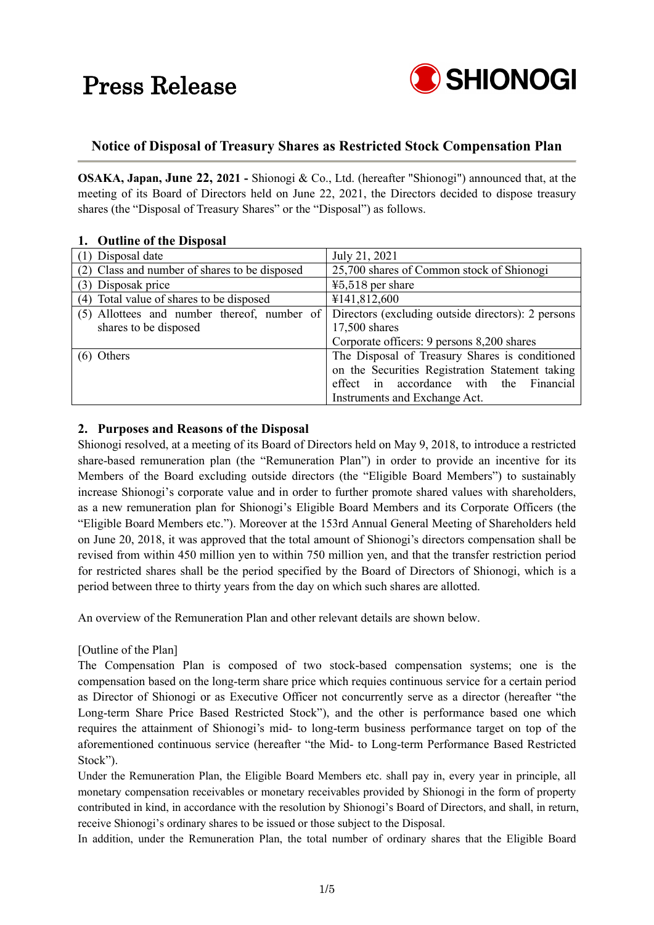

### **Notice of Disposal of Treasury Shares as Restricted Stock Compensation Plan**

**OSAKA, Japan, June 22, 2021 -** Shionogi & Co., Ltd. (hereafter "Shionogi") announced that, at the meeting of its Board of Directors held on June 22, 2021, the Directors decided to dispose treasury shares (the "Disposal of Treasury Shares" or the "Disposal") as follows.

| 1. Outflift of the Disposal                   |                                                    |
|-----------------------------------------------|----------------------------------------------------|
| (1) Disposal date                             | July 21, 2021                                      |
| (2) Class and number of shares to be disposed | 25,700 shares of Common stock of Shionogi          |
| (3) Disposak price                            | $45,518$ per share                                 |
| (4) Total value of shares to be disposed      | ¥141,812,600                                       |
| (5) Allottees and number thereof, number of   | Directors (excluding outside directors): 2 persons |
| shares to be disposed                         | 17,500 shares                                      |
|                                               | Corporate officers: 9 persons 8,200 shares         |
| Others                                        | The Disposal of Treasury Shares is conditioned     |
|                                               | on the Securities Registration Statement taking    |
|                                               | effect in accordance with the<br>Financial         |
|                                               | Instruments and Exchange Act.                      |

#### **1. Outline of the Disposal**

### **2. Purposes and Reasons of the Disposal**

Shionogi resolved, at a meeting of its Board of Directors held on May 9, 2018, to introduce a restricted share-based remuneration plan (the "Remuneration Plan") in order to provide an incentive for its Members of the Board excluding outside directors (the "Eligible Board Members") to sustainably increase Shionogi's corporate value and in order to further promote shared values with shareholders, as a new remuneration plan for Shionogi's Eligible Board Members and its Corporate Officers (the "Eligible Board Members etc."). Moreover at the 153rd Annual General Meeting of Shareholders held on June 20, 2018, it was approved that the total amount of Shionogi's directors compensation shall be revised from within 450 million yen to within 750 million yen, and that the transfer restriction period for restricted shares shall be the period specified by the Board of Directors of Shionogi, which is a period between three to thirty years from the day on which such shares are allotted.

An overview of the Remuneration Plan and other relevant details are shown below.

#### [Outline of the Plan]

The Compensation Plan is composed of two stock-based compensation systems; one is the compensation based on the long-term share price which requies continuous service for a certain period as Director of Shionogi or as Executive Officer not concurrently serve as a director (hereafter "the Long-term Share Price Based Restricted Stock"), and the other is performance based one which requires the attainment of Shionogi's mid- to long-term business performance target on top of the aforementioned continuous service (hereafter "the Mid- to Long-term Performance Based Restricted Stock").

Under the Remuneration Plan, the Eligible Board Members etc. shall pay in, every year in principle, all monetary compensation receivables or monetary receivables provided by Shionogi in the form of property contributed in kind, in accordance with the resolution by Shionogi's Board of Directors, and shall, in return, receive Shionogi's ordinary shares to be issued or those subject to the Disposal.

In addition, under the Remuneration Plan, the total number of ordinary shares that the Eligible Board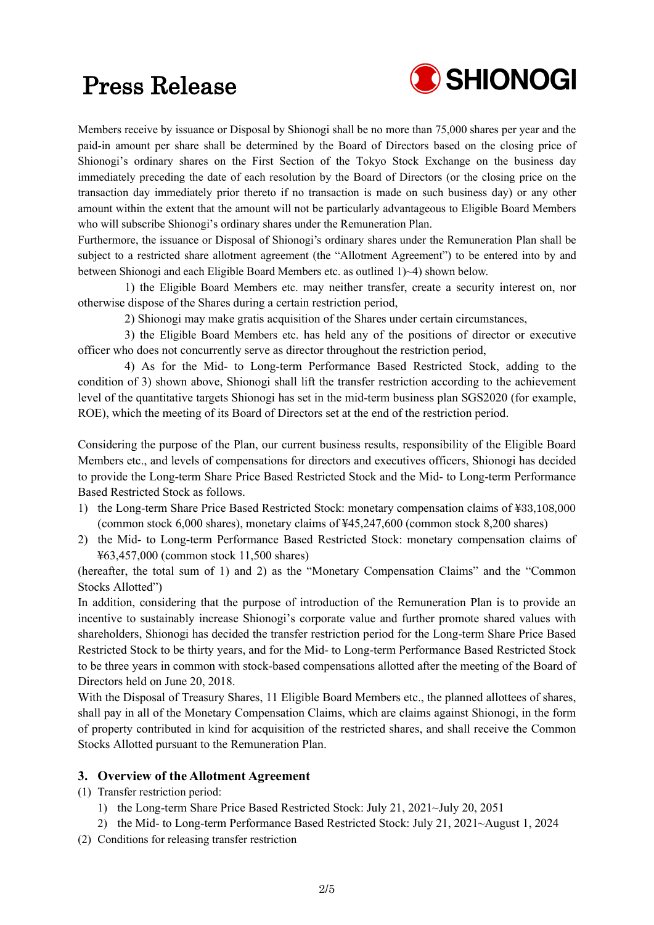

Members receive by issuance or Disposal by Shionogi shall be no more than 75,000 shares per year and the paid-in amount per share shall be determined by the Board of Directors based on the closing price of Shionogi's ordinary shares on the First Section of the Tokyo Stock Exchange on the business day immediately preceding the date of each resolution by the Board of Directors (or the closing price on the transaction day immediately prior thereto if no transaction is made on such business day) or any other amount within the extent that the amount will not be particularly advantageous to Eligible Board Members who will subscribe Shionogi's ordinary shares under the Remuneration Plan.

Furthermore, the issuance or Disposal of Shionogi's ordinary shares under the Remuneration Plan shall be subject to a restricted share allotment agreement (the "Allotment Agreement") to be entered into by and between Shionogi and each Eligible Board Members etc. as outlined 1)~4) shown below.

1) the Eligible Board Members etc. may neither transfer, create a security interest on, nor otherwise dispose of the Shares during a certain restriction period,

2) Shionogi may make gratis acquisition of the Shares under certain circumstances,

3) the Eligible Board Members etc. has held any of the positions of director or executive officer who does not concurrently serve as director throughout the restriction period,

4) As for the Mid- to Long-term Performance Based Restricted Stock, adding to the condition of 3) shown above, Shionogi shall lift the transfer restriction according to the achievement level of the quantitative targets Shionogi has set in the mid-term business plan SGS2020 (for example, ROE), which the meeting of its Board of Directors set at the end of the restriction period.

Considering the purpose of the Plan, our current business results, responsibility of the Eligible Board Members etc., and levels of compensations for directors and executives officers, Shionogi has decided to provide the Long-term Share Price Based Restricted Stock and the Mid- to Long-term Performance Based Restricted Stock as follows.

- 1) the Long-term Share Price Based Restricted Stock: monetary compensation claims of ¥33,108,000 (common stock 6,000 shares), monetary claims of ¥45,247,600 (common stock 8,200 shares)
- 2) the Mid- to Long-term Performance Based Restricted Stock: monetary compensation claims of ¥63,457,000 (common stock 11,500 shares)

(hereafter, the total sum of 1) and 2) as the "Monetary Compensation Claims" and the "Common Stocks Allotted")

In addition, considering that the purpose of introduction of the Remuneration Plan is to provide an incentive to sustainably increase Shionogi's corporate value and further promote shared values with shareholders, Shionogi has decided the transfer restriction period for the Long-term Share Price Based Restricted Stock to be thirty years, and for the Mid- to Long-term Performance Based Restricted Stock to be three years in common with stock-based compensations allotted after the meeting of the Board of Directors held on June 20, 2018.

With the Disposal of Treasury Shares, 11 Eligible Board Members etc., the planned allottees of shares, shall pay in all of the Monetary Compensation Claims, which are claims against Shionogi, in the form of property contributed in kind for acquisition of the restricted shares, and shall receive the Common Stocks Allotted pursuant to the Remuneration Plan.

### **3. Overview of the Allotment Agreement**

- (1) Transfer restriction period:
	- 1) the Long-term Share Price Based Restricted Stock: July 21, 2021~July 20, 2051
	- 2) the Mid- to Long-term Performance Based Restricted Stock: July 21, 2021~August 1, 2024
- (2) Conditions for releasing transfer restriction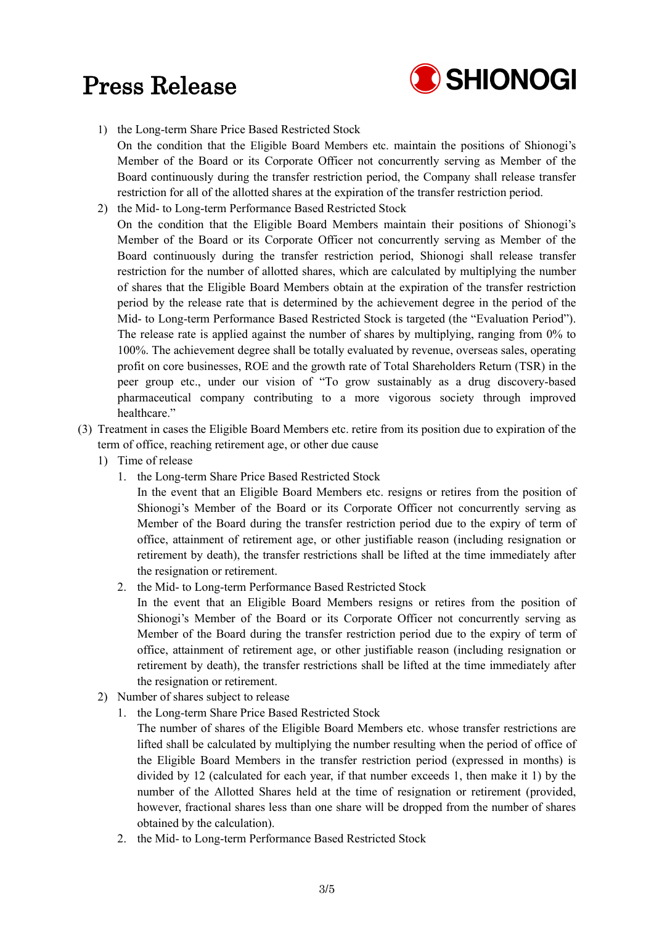

- 1) the Long-term Share Price Based Restricted Stock On the condition that the Eligible Board Members etc. maintain the positions of Shionogi's Member of the Board or its Corporate Officer not concurrently serving as Member of the Board continuously during the transfer restriction period, the Company shall release transfer restriction for all of the allotted shares at the expiration of the transfer restriction period.
- 2) the Mid- to Long-term Performance Based Restricted Stock On the condition that the Eligible Board Members maintain their positions of Shionogi's Member of the Board or its Corporate Officer not concurrently serving as Member of the Board continuously during the transfer restriction period, Shionogi shall release transfer restriction for the number of allotted shares, which are calculated by multiplying the number of shares that the Eligible Board Members obtain at the expiration of the transfer restriction period by the release rate that is determined by the achievement degree in the period of the Mid- to Long-term Performance Based Restricted Stock is targeted (the "Evaluation Period"). The release rate is applied against the number of shares by multiplying, ranging from 0% to 100%. The achievement degree shall be totally evaluated by revenue, overseas sales, operating profit on core businesses, ROE and the growth rate of Total Shareholders Return (TSR) in the peer group etc., under our vision of "To grow sustainably as a drug discovery-based pharmaceutical company contributing to a more vigorous society through improved healthcare."
- (3) Treatment in cases the Eligible Board Members etc. retire from its position due to expiration of the term of office, reaching retirement age, or other due cause
	- 1) Time of release
		- 1. the Long-term Share Price Based Restricted Stock

In the event that an Eligible Board Members etc. resigns or retires from the position of Shionogi's Member of the Board or its Corporate Officer not concurrently serving as Member of the Board during the transfer restriction period due to the expiry of term of office, attainment of retirement age, or other justifiable reason (including resignation or retirement by death), the transfer restrictions shall be lifted at the time immediately after the resignation or retirement.

2. the Mid- to Long-term Performance Based Restricted Stock

In the event that an Eligible Board Members resigns or retires from the position of Shionogi's Member of the Board or its Corporate Officer not concurrently serving as Member of the Board during the transfer restriction period due to the expiry of term of office, attainment of retirement age, or other justifiable reason (including resignation or retirement by death), the transfer restrictions shall be lifted at the time immediately after the resignation or retirement.

- 2) Number of shares subject to release
	- 1. the Long-term Share Price Based Restricted Stock
		- The number of shares of the Eligible Board Members etc. whose transfer restrictions are lifted shall be calculated by multiplying the number resulting when the period of office of the Eligible Board Members in the transfer restriction period (expressed in months) is divided by 12 (calculated for each year, if that number exceeds 1, then make it 1) by the number of the Allotted Shares held at the time of resignation or retirement (provided, however, fractional shares less than one share will be dropped from the number of shares obtained by the calculation).
	- 2. the Mid- to Long-term Performance Based Restricted Stock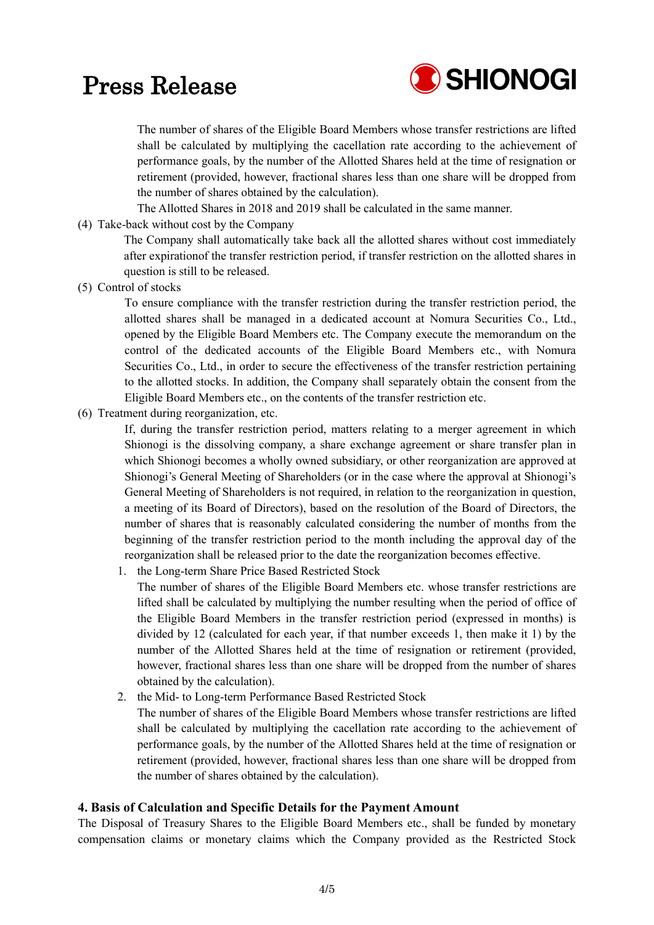

The number of shares of the Eligible Board Members whose transfer restrictions are lifted shall be calculated by multiplying the cacellation rate according to the achievement of performance goals, by the number of the Allotted Shares held at the time of resignation or retirement (provided, however, fractional shares less than one share will be dropped from the number of shares obtained by the calculation).

The Allotted Shares in 2018 and 2019 shall be calculated in the same manner.

(4) Take-back without cost by the Company

The Company shall automatically take back all the allotted shares without cost immediately after expirationof the transfer restriction period, if transfer restriction on the allotted shares in question is still to be released.

(5) Control of stocks

To ensure compliance with the transfer restriction during the transfer restriction period, the allotted shares shall be managed in a dedicated account at Nomura Securities Co., Ltd., opened by the Eligible Board Members etc. The Company execute the memorandum on the control of the dedicated accounts of the Eligible Board Members etc., with Nomura Securities Co., Ltd., in order to secure the effectiveness of the transfer restriction pertaining to the allotted stocks. In addition, the Company shall separately obtain the consent from the Eligible Board Members etc., on the contents of the transfer restriction etc.

(6) Treatment during reorganization, etc.

If, during the transfer restriction period, matters relating to a merger agreement in which Shionogi is the dissolving company, a share exchange agreement or share transfer plan in which Shionogi becomes a wholly owned subsidiary, or other reorganization are approved at Shionogi's General Meeting of Shareholders (or in the case where the approval at Shionogi's General Meeting of Shareholders is not required, in relation to the reorganization in question, a meeting of its Board of Directors), based on the resolution of the Board of Directors, the number of shares that is reasonably calculated considering the number of months from the beginning of the transfer restriction period to the month including the approval day of the reorganization shall be released prior to the date the reorganization becomes effective.

- 1. the Long-term Share Price Based Restricted Stock The number of shares of the Eligible Board Members etc. whose transfer restrictions are lifted shall be calculated by multiplying the number resulting when the period of office of the Eligible Board Members in the transfer restriction period (expressed in months) is divided by 12 (calculated for each year, if that number exceeds 1, then make it 1) by the number of the Allotted Shares held at the time of resignation or retirement (provided, however, fractional shares less than one share will be dropped from the number of shares obtained by the calculation).
- 2. the Mid- to Long-term Performance Based Restricted Stock

The number of shares of the Eligible Board Members whose transfer restrictions are lifted shall be calculated by multiplying the cacellation rate according to the achievement of performance goals, by the number of the Allotted Shares held at the time of resignation or retirement (provided, however, fractional shares less than one share will be dropped from the number of shares obtained by the calculation).

#### **4. Basis of Calculation and Specific Details for the Payment Amount**

The Disposal of Treasury Shares to the Eligible Board Members etc., shall be funded by monetary compensation claims or monetary claims which the Company provided as the Restricted Stock